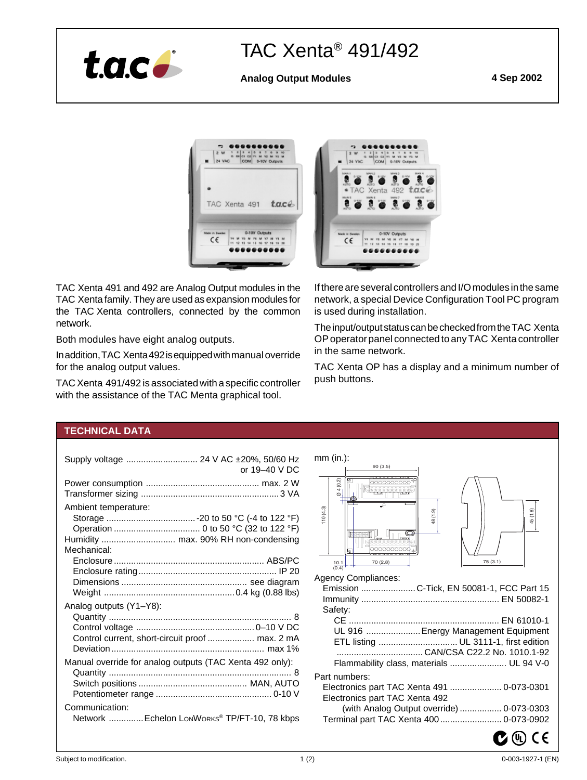

# TAC Xenta® 491/492

# **Analog Output Modules 4 Sep 2002**



TAC Xenta 491 and 492 are Analog Output modules in the TAC Xenta family. They are used as expansion modules for the TAC Xenta controllers, connected by the common network.

Both modules have eight analog outputs.

In addition, TAC Xenta 492 is equipped with manual override for the analog output values.

TAC Xenta 491/492 is associated with a specific controller with the assistance of the TAC Menta graphical tool.



If there are several controllers and I/O modules in the same network, a special Device Configuration Tool PC program is used during installation.

The input/output status can be checked from the TAC Xenta OP operator panel connected to any TAC Xenta controller in the same network.

TAC Xenta OP has a display and a minimum number of push buttons.

# **TECHNICAL DATA**

| Supply voltage  24 V AC ±20%, 50/60 Hz<br>or $19-40$ V DC                   |
|-----------------------------------------------------------------------------|
|                                                                             |
| Ambient temperature:<br>Humidity  max. 90% RH non-condensing<br>Mechanical: |
| Analog outputs (Y1-Y8):                                                     |
| Control current, short-circuit proof  max. 2 mA                             |
| Manual override for analog outputs (TAC Xenta 492 only):                    |
| Communication:<br>Network  Echelon LONWORKS® TP/FT-10, 78 kbps              |

| $mm$ (in.):                                                                                                                                 |  |  |  |
|---------------------------------------------------------------------------------------------------------------------------------------------|--|--|--|
| 90 (3.5)                                                                                                                                    |  |  |  |
| 4(0.2)<br><b>OCCOOOOOO</b><br>ক<br>110(4.3)<br>45 (1.8)<br>48 (1.9)<br>KDKOK<br>೧೯೯೯೯೯೯೯೯೯೯<br>75 (3.1)<br>70 (2.8)<br>$\frac{10.1}{(0.4)}$ |  |  |  |
| <b>Agency Compliances:</b>                                                                                                                  |  |  |  |
| Emission  C-Tick, EN 50081-1, FCC Part 15                                                                                                   |  |  |  |
|                                                                                                                                             |  |  |  |
| Safety:                                                                                                                                     |  |  |  |
|                                                                                                                                             |  |  |  |
| UL 916  Energy Management Equipment                                                                                                         |  |  |  |
| ETL listing  UL 3111-1, first edition                                                                                                       |  |  |  |
|                                                                                                                                             |  |  |  |
| Flammability class, materials  UL 94 V-0                                                                                                    |  |  |  |
|                                                                                                                                             |  |  |  |
| Part numbers:                                                                                                                               |  |  |  |
| Electronics part TAC Xenta 491  0-073-0301                                                                                                  |  |  |  |
| Electronics part TAC Xenta 492                                                                                                              |  |  |  |
| (with Analog Output override)  0-073-0303                                                                                                   |  |  |  |
| Terminal part TAC Xenta 400 0-073-0902                                                                                                      |  |  |  |
|                                                                                                                                             |  |  |  |